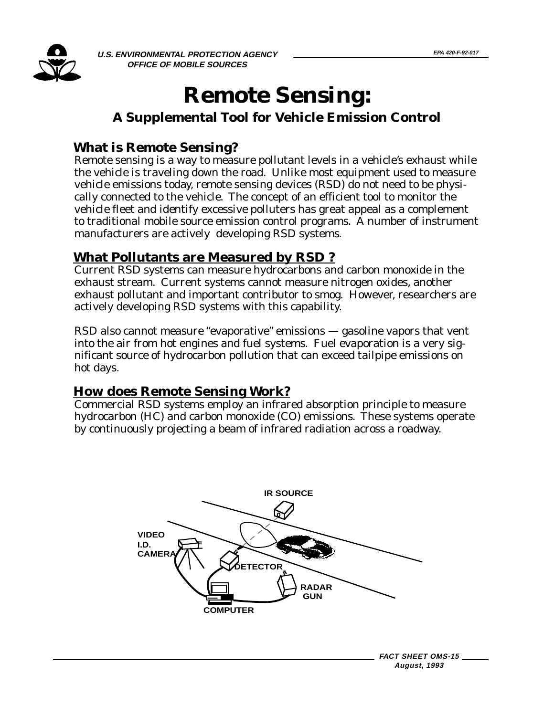

**U.S. ENVIRONMENTAL PROTECTION AGENCY <u>EPA 420-F-92-017</u> OFFICE OF MOBILE SOURCES** 

## **Remote Sensing:**

## **A Supplemental Tool for Vehicle Emission Control**

### **What is Remote Sensing?**

Remote sensing is a way to measure pollutant levels in a vehicle's exhaust while the vehicle is traveling down the road. Unlike most equipment used to measure vehicle emissions today, remote sensing devices (RSD) do not need to be physically connected to the vehicle. The concept of an efficient tool to monitor the vehicle fleet and identify excessive polluters has great appeal as a complement to traditional mobile source emission control programs. A number of instrument manufacturers are actively developing RSD systems.

## **What Pollutants are Measured by RSD ?**

Current RSD systems can measure hydrocarbons and carbon monoxide in the exhaust stream. Current systems cannot measure nitrogen oxides, another exhaust pollutant and important contributor to smog. However, researchers are actively developing RSD systems with this capability.

RSD also cannot measure "evaporative" emissions — gasoline vapors that vent into the air from hot engines and fuel systems. Fuel evaporation is a very significant source of hydrocarbon pollution that can exceed tailpipe emissions on hot days.

## **How does Remote Sensing Work?**

Commercial RSD systems employ an infrared absorption principle to measure hydrocarbon (HC) and carbon monoxide (CO) emissions. These systems operate by continuously projecting a beam of infrared radiation across a roadway.

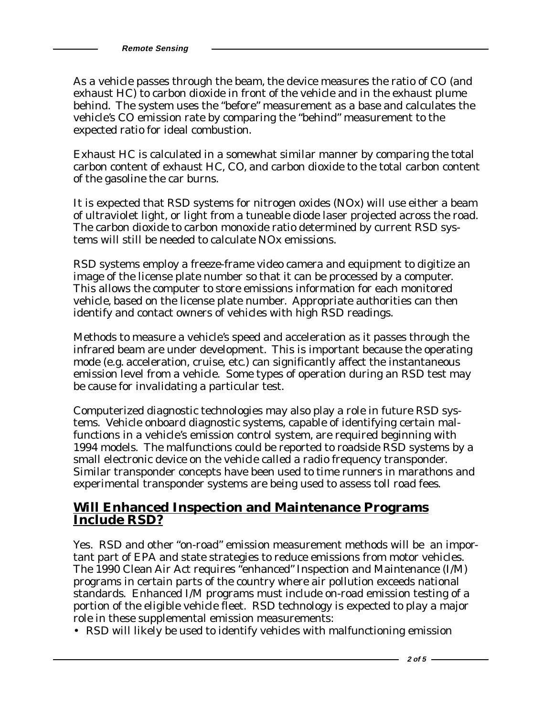**Remote Sensing** 

As a vehicle passes through the beam, the device measures the ratio of CO (and exhaust HC) to carbon dioxide in front of the vehicle and in the exhaust plume behind. The system uses the "before" measurement as a base and calculates the vehicle's CO emission rate by comparing the "behind" measurement to the expected ratio for ideal combustion.

Exhaust HC is calculated in a somewhat similar manner by comparing the total carbon content of exhaust HC, CO, and carbon dioxide to the total carbon content of the gasoline the car burns.

It is expected that RSD systems for nitrogen oxides (NOx) will use either a beam of ultraviolet light, or light from a tuneable diode laser projected across the road. The carbon dioxide to carbon monoxide ratio determined by current RSD systems will still be needed to calculate NOx emissions.

RSD systems employ a freeze-frame video camera and equipment to digitize an image of the license plate number so that it can be processed by a computer. This allows the computer to store emissions information for each monitored vehicle, based on the license plate number. Appropriate authorities can then identify and contact owners of vehicles with high RSD readings.

Methods to measure a vehicle's speed and acceleration as it passes through the infrared beam are under development. This is important because the operating mode (e.g. acceleration, cruise, etc.) can significantly affect the instantaneous emission level from a vehicle. Some types of operation during an RSD test may be cause for invalidating a particular test.

Computerized diagnostic technologies may also play a role in future RSD systems. Vehicle onboard diagnostic systems, capable of identifying certain malfunctions in a vehicle's emission control system, are required beginning with 1994 models. The malfunctions could be reported to roadside RSD systems by a small electronic device on the vehicle called a radio frequency transponder. Similar transponder concepts have been used to time runners in marathons and experimental transponder systems are being used to assess toll road fees.

# **Will Enhanced Inspection and Maintenance Programs Include RSD?**

Yes. RSD and other "on-road" emission measurement methods will be an important part of EPA and state strategies to reduce emissions from motor vehicles. The 1990 Clean Air Act requires "enhanced" Inspection and Maintenance (I/M) programs in certain parts of the country where air pollution exceeds national standards. Enhanced I/M programs must include on-road emission testing of a portion of the eligible vehicle fleet. RSD technology is expected to play a major role in these supplemental emission measurements:

• RSD will likely be used to identify vehicles with malfunctioning emission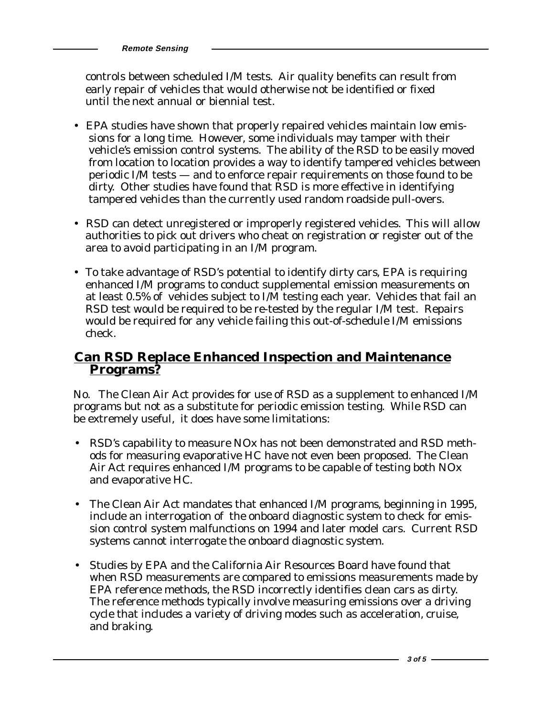**Remote Sensing**

 controls between scheduled I/M tests. Air quality benefits can result from early repair of vehicles that would otherwise not be identified or fixed until the next annual or biennial test.

- EPA studies have shown that properly repaired vehicles maintain low emissions for a long time. However, some individuals may tamper with their vehicle's emission control systems. The ability of the RSD to be easily moved from location to location provides a way to identify tampered vehicles between periodic I/M tests — and to enforce repair requirements on those found to be dirty. Other studies have found that RSD is more effective in identifying tampered vehicles than the currently used random roadside pull-overs.
- RSD can detect unregistered or improperly registered vehicles. This will allow authorities to pick out drivers who cheat on registration or register out of the area to avoid participating in an I/M program.
- To take advantage of RSD's potential to identify dirty cars, EPA is requiring enhanced I/M programs to conduct supplemental emission measurements on at least 0.5% of vehicles subject to I/M testing each year. Vehicles that fail an RSD test would be required to be re-tested by the regular I/M test. Repairs would be required for any vehicle failing this out-of-schedule I/M emissions check.

# **Can RSD Replace Enhanced Inspection and Maintenance Programs?**

No. The Clean Air Act provides for use of RSD as a supplement to enhanced I/M programs but not as a substitute for periodic emission testing. While RSD can be extremely useful, it does have some limitations:

- RSD's capability to measure NOx has not been demonstrated and RSD methods for measuring evaporative HC have not even been proposed. The Clean Air Act requires enhanced I/M programs to be capable of testing both NOx and evaporative HC.
- The Clean Air Act mandates that enhanced I/M programs, beginning in 1995, include an interrogation of the onboard diagnostic system to check for emission control system malfunctions on 1994 and later model cars. Current RSD systems cannot interrogate the onboard diagnostic system.
- Studies by EPA and the California Air Resources Board have found that when RSD measurements are compared to emissions measurements made by EPA reference methods, the RSD incorrectly identifies clean cars as dirty. The reference methods typically involve measuring emissions over a driving cycle that includes a variety of driving modes such as acceleration, cruise, and braking.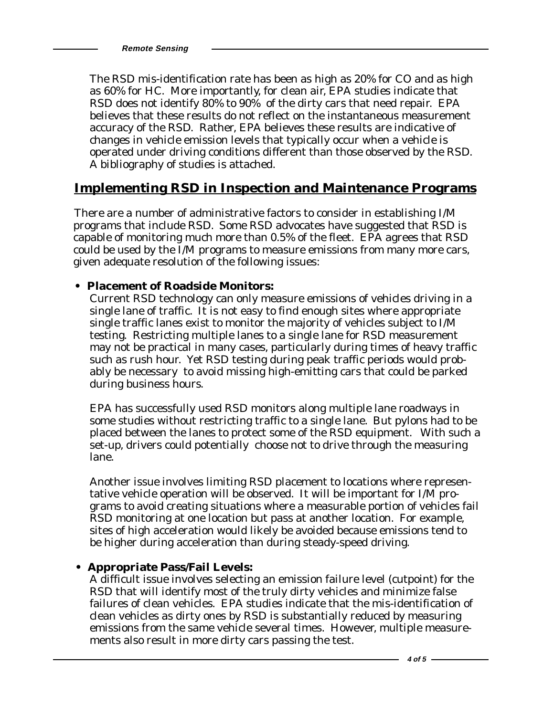**Remote Sensing** 

The RSD mis-identification rate has been as high as 20% for CO and as high as 60% for HC. More importantly, for clean air, EPA studies indicate that RSD does not identify 80% to 90% of the dirty cars that need repair. EPA believes that these results do not reflect on the instantaneous measurement accuracy of the RSD. Rather, EPA believes these results are indicative of changes in vehicle emission levels that typically occur when a vehicle is operated under driving conditions different than those observed by the RSD. A bibliography of studies is attached.

### **Implementing RSD in Inspection and Maintenance Programs**

There are a number of administrative factors to consider in establishing I/M programs that include RSD. Some RSD advocates have suggested that RSD is capable of monitoring much more than 0.5% of the fleet. EPA agrees that RSD could be used by the I/M programs to measure emissions from many more cars, given adequate resolution of the following issues:

#### **• Placement of Roadside Monitors:**

Current RSD technology can only measure emissions of vehicles driving in a single lane of traffic. It is not easy to find enough sites where appropriate single traffic lanes exist to monitor the majority of vehicles subject to I/M testing. Restricting multiple lanes to a single lane for RSD measurement may not be practical in many cases, particularly during times of heavy traffic such as rush hour. Yet RSD testing during peak traffic periods would probably be necessary to avoid missing high-emitting cars that could be parked during business hours.

EPA has successfully used RSD monitors along multiple lane roadways in some studies without restricting traffic to a single lane. But pylons had to be placed between the lanes to protect some of the RSD equipment. With such a set-up, drivers could potentially choose not to drive through the measuring lane.

Another issue involves limiting RSD placement to locations where representative vehicle operation will be observed. It will be important for I/M programs to avoid creating situations where a measurable portion of vehicles fail RSD monitoring at one location but pass at another location. For example, sites of high acceleration would likely be avoided because emissions tend to be higher during acceleration than during steady-speed driving.

#### **• Appropriate Pass/Fail Levels:**

A difficult issue involves selecting an emission failure level (cutpoint) for the RSD that will identify most of the truly dirty vehicles and minimize false failures of clean vehicles. EPA studies indicate that the mis-identification of clean vehicles as dirty ones by RSD is substantially reduced by measuring emissions from the same vehicle several times. However, multiple measurements also result in more dirty cars passing the test.